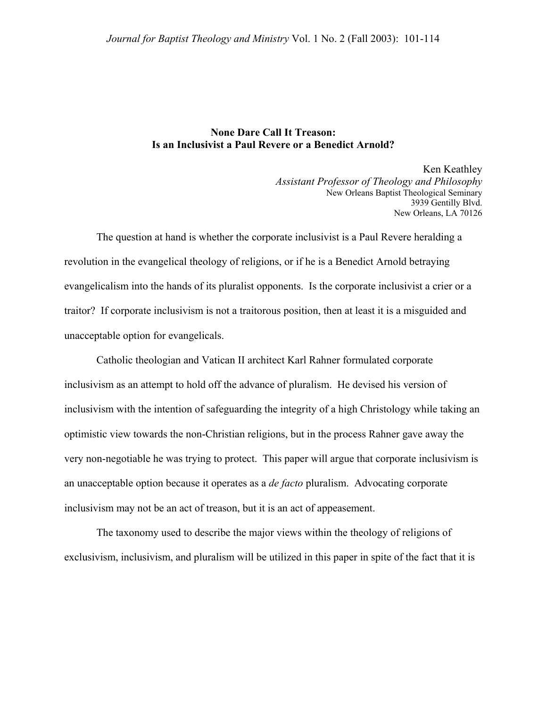## **None Dare Call It Treason: Is an Inclusivist a Paul Revere or a Benedict Arnold?**

Ken Keathley *Assistant Professor of Theology and Philosophy*  New Orleans Baptist Theological Seminary 3939 Gentilly Blvd. New Orleans, LA 70126

The question at hand is whether the corporate inclusivist is a Paul Revere heralding a revolution in the evangelical theology of religions, or if he is a Benedict Arnold betraying evangelicalism into the hands of its pluralist opponents. Is the corporate inclusivist a crier or a traitor? If corporate inclusivism is not a traitorous position, then at least it is a misguided and unacceptable option for evangelicals.

Catholic theologian and Vatican II architect Karl Rahner formulated corporate inclusivism as an attempt to hold off the advance of pluralism. He devised his version of inclusivism with the intention of safeguarding the integrity of a high Christology while taking an optimistic view towards the non-Christian religions, but in the process Rahner gave away the very non-negotiable he was trying to protect. This paper will argue that corporate inclusivism is an unacceptable option because it operates as a *de facto* pluralism. Advocating corporate inclusivism may not be an act of treason, but it is an act of appeasement.

The taxonomy used to describe the major views within the theology of religions of exclusivism, inclusivism, and pluralism will be utilized in this paper in spite of the fact that it is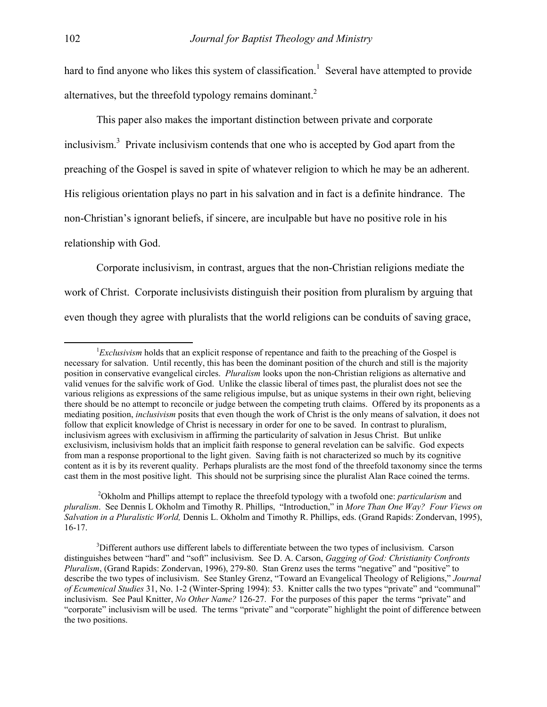hard to find anyone who likes this system of classification.<sup>1</sup> Several have attempted to provide alternatives, but the threefold typology remains dominant.<sup>[2](#page-1-1)</sup>

This paper also makes the important distinction between private and corporate inclusivism.<sup>[3](#page-1-2)</sup> Private inclusivism contends that one who is accepted by God apart from the preaching of the Gospel is saved in spite of whatever religion to which he may be an adherent. His religious orientation plays no part in his salvation and in fact is a definite hindrance. The non-Christian's ignorant beliefs, if sincere, are inculpable but have no positive role in his relationship with God.

Corporate inclusivism, in contrast, argues that the non-Christian religions mediate the work of Christ. Corporate inclusivists distinguish their position from pluralism by arguing that even though they agree with pluralists that the world religions can be conduits of saving grace,

<span id="page-1-1"></span> <sup>2</sup> Okholm and Phillips attempt to replace the threefold typology with a twofold one: *particularism* and *pluralism*. See Dennis L Okholm and Timothy R. Phillips, "Introduction," in *More Than One Way? Four Views on Salvation in a Pluralistic World,* Dennis L. Okholm and Timothy R. Phillips, eds. (Grand Rapids: Zondervan, 1995), 16-17.

<span id="page-1-0"></span> $\frac{1}{1}$ *Exclusivism* holds that an explicit response of repentance and faith to the preaching of the Gospel is necessary for salvation. Until recently, this has been the dominant position of the church and still is the majority position in conservative evangelical circles. *Pluralism* looks upon the non-Christian religions as alternative and valid venues for the salvific work of God. Unlike the classic liberal of times past, the pluralist does not see the various religions as expressions of the same religious impulse, but as unique systems in their own right, believing there should be no attempt to reconcile or judge between the competing truth claims. Offered by its proponents as a mediating position, *inclusivism* posits that even though the work of Christ is the only means of salvation, it does not follow that explicit knowledge of Christ is necessary in order for one to be saved. In contrast to pluralism, inclusivism agrees with exclusivism in affirming the particularity of salvation in Jesus Christ. But unlike exclusivism, inclusivism holds that an implicit faith response to general revelation can be salvific. God expects from man a response proportional to the light given. Saving faith is not characterized so much by its cognitive content as it is by its reverent quality. Perhaps pluralists are the most fond of the threefold taxonomy since the terms cast them in the most positive light. This should not be surprising since the pluralist Alan Race coined the terms.

<span id="page-1-2"></span><sup>&</sup>lt;sup>3</sup>Different authors use different labels to differentiate between the two types of inclusivism. Carson distinguishes between "hard" and "soft" inclusivism. See D. A. Carson, *Gagging of God: Christianity Confronts Pluralism*, (Grand Rapids: Zondervan, 1996), 279-80. Stan Grenz uses the terms "negative" and "positive" to describe the two types of inclusivism. See Stanley Grenz, "Toward an Evangelical Theology of Religions," *Journal of Ecumenical Studies* 31, No. 1-2 (Winter-Spring 1994): 53. Knitter calls the two types "private" and "communal" inclusivism. See Paul Knitter, *No Other Name?* 126-27. For the purposes of this paper the terms "private" and "corporate" inclusivism will be used. The terms "private" and "corporate" highlight the point of difference between the two positions.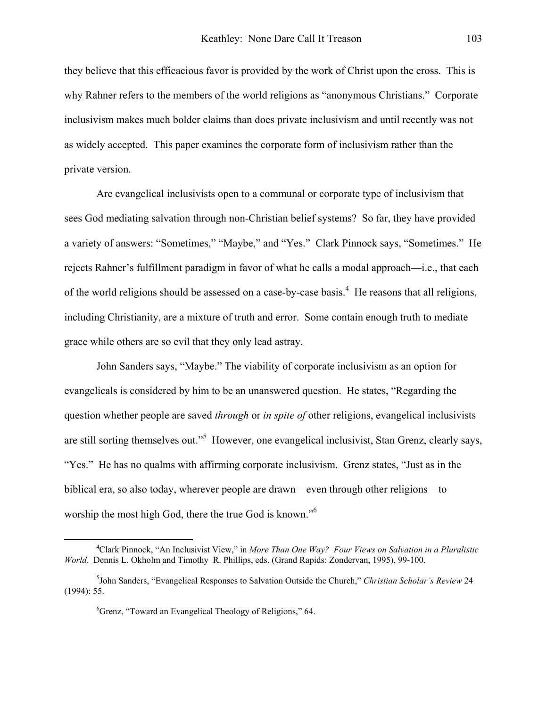they believe that this efficacious favor is provided by the work of Christ upon the cross. This is why Rahner refers to the members of the world religions as "anonymous Christians." Corporate inclusivism makes much bolder claims than does private inclusivism and until recently was not as widely accepted. This paper examines the corporate form of inclusivism rather than the private version.

Are evangelical inclusivists open to a communal or corporate type of inclusivism that sees God mediating salvation through non-Christian belief systems? So far, they have provided a variety of answers: "Sometimes," "Maybe," and "Yes." Clark Pinnock says, "Sometimes." He rejects Rahner's fulfillment paradigm in favor of what he calls a modal approach—i.e., that each of the world religions should be assessed on a case-by-case basis.<sup>[4](#page-2-0)</sup> He reasons that all religions, including Christianity, are a mixture of truth and error. Some contain enough truth to mediate grace while others are so evil that they only lead astray.

John Sanders says, "Maybe." The viability of corporate inclusivism as an option for evangelicals is considered by him to be an unanswered question. He states, "Regarding the question whether people are saved *through* or *in spite of* other religions, evangelical inclusivists are still sorting themselves out."<sup>[5](#page-2-1)</sup> However, one evangelical inclusivist, Stan Grenz, clearly says, "Yes." He has no qualms with affirming corporate inclusivism. Grenz states, "Just as in the biblical era, so also today, wherever people are drawn—even through other religions—to worship the most high God, there the true God is known."<sup>[6](#page-2-2)</sup>

<span id="page-2-0"></span> $\frac{1}{4}$ Clark Pinnock, "An Inclusivist View," in *More Than One Way? Four Views on Salvation in a Pluralistic World.* Dennis L. Okholm and Timothy R. Phillips, eds. (Grand Rapids: Zondervan, 1995), 99-100.

<sup>5</sup> John Sanders, "Evangelical Responses to Salvation Outside the Church," *Christian Scholar's Review* 24 (1994): 55.

<span id="page-2-2"></span><span id="page-2-1"></span><sup>6</sup> Grenz, "Toward an Evangelical Theology of Religions," 64.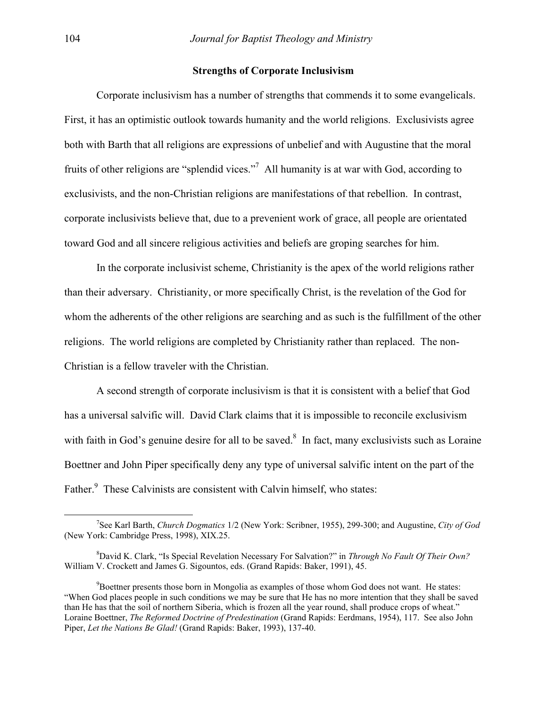## **Strengths of Corporate Inclusivism**

 Corporate inclusivism has a number of strengths that commends it to some evangelicals. First, it has an optimistic outlook towards humanity and the world religions. Exclusivists agree both with Barth that all religions are expressions of unbelief and with Augustine that the moral fruits of other religions are "splendid vices."<sup>[7](#page-3-0)</sup> All humanity is at war with God, according to exclusivists, and the non-Christian religions are manifestations of that rebellion. In contrast, corporate inclusivists believe that, due to a prevenient work of grace, all people are orientated toward God and all sincere religious activities and beliefs are groping searches for him.

 In the corporate inclusivist scheme, Christianity is the apex of the world religions rather than their adversary. Christianity, or more specifically Christ, is the revelation of the God for whom the adherents of the other religions are searching and as such is the fulfillment of the other religions. The world religions are completed by Christianity rather than replaced. The non-Christian is a fellow traveler with the Christian.

 A second strength of corporate inclusivism is that it is consistent with a belief that God has a universal salvific will. David Clark claims that it is impossible to reconcile exclusivism with faith in God's genuine desire for all to be saved. $8\,$  $8\,$  In fact, many exclusivists such as Loraine Boettner and John Piper specifically deny any type of universal salvific intent on the part of the Father.<sup>[9](#page-3-2)</sup> These Calvinists are consistent with Calvin himself, who states:

<span id="page-3-0"></span> $\overline{\phantom{a}}$ See Karl Barth, *Church Dogmatics* 1/2 (New York: Scribner, 1955), 299-300; and Augustine, *City of God* (New York: Cambridge Press, 1998), XIX.25.

<span id="page-3-1"></span><sup>8</sup> <sup>8</sup>David K. Clark, "Is Special Revelation Necessary For Salvation?" in *Through No Fault Of Their Own?* William V. Crockett and James G. Sigountos, eds. (Grand Rapids: Baker, 1991), 45.

<span id="page-3-2"></span><sup>&</sup>lt;sup>9</sup>Boettner presents those born in Mongolia as examples of those whom God does not want. He states: "When God places people in such conditions we may be sure that He has no more intention that they shall be saved than He has that the soil of northern Siberia, which is frozen all the year round, shall produce crops of wheat." Loraine Boettner, *The Reformed Doctrine of Predestination* (Grand Rapids: Eerdmans, 1954), 117. See also John Piper, *Let the Nations Be Glad!* (Grand Rapids: Baker, 1993), 137-40.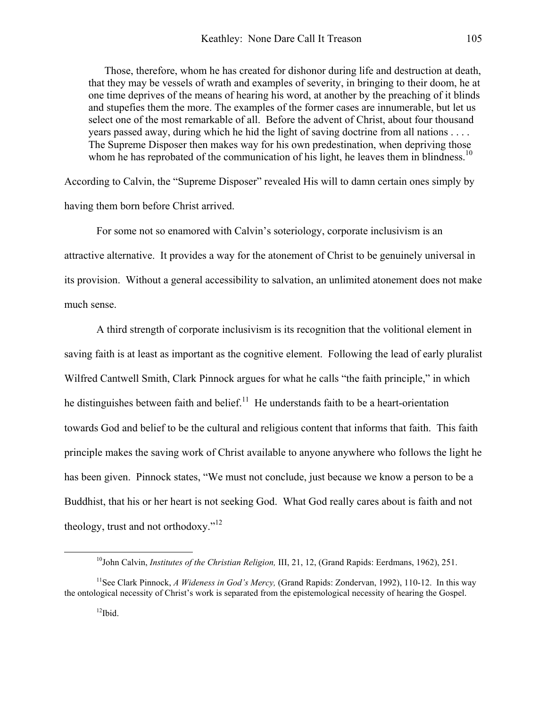Those, therefore, whom he has created for dishonor during life and destruction at death, that they may be vessels of wrath and examples of severity, in bringing to their doom, he at one time deprives of the means of hearing his word, at another by the preaching of it blinds and stupefies them the more. The examples of the former cases are innumerable, but let us select one of the most remarkable of all. Before the advent of Christ, about four thousand years passed away, during which he hid the light of saving doctrine from all nations . . . . The Supreme Disposer then makes way for his own predestination, when depriving those whom he has reprobated of the communication of his light, he leaves them in blindness.<sup>10</sup>

According to Calvin, the "Supreme Disposer" revealed His will to damn certain ones simply by having them born before Christ arrived.

For some not so enamored with Calvin's soteriology, corporate inclusivism is an attractive alternative. It provides a way for the atonement of Christ to be genuinely universal in its provision. Without a general accessibility to salvation, an unlimited atonement does not make much sense.

A third strength of corporate inclusivism is its recognition that the volitional element in saving faith is at least as important as the cognitive element. Following the lead of early pluralist Wilfred Cantwell Smith, Clark Pinnock argues for what he calls "the faith principle," in which he distinguishes between faith and belief.<sup>11</sup> He understands faith to be a heart-orientation towards God and belief to be the cultural and religious content that informs that faith. This faith principle makes the saving work of Christ available to anyone anywhere who follows the light he has been given. Pinnock states, "We must not conclude, just because we know a person to be a Buddhist, that his or her heart is not seeking God. What God really cares about is faith and not theology, trust and not orthodoxy."<sup>[12](#page-4-2)</sup>

<span id="page-4-1"></span><span id="page-4-0"></span> <sup>10</sup>John Calvin, *Institutes of the Christian Religion,* III, 21, 12, (Grand Rapids: Eerdmans, 1962), 251.

<span id="page-4-2"></span><sup>11</sup>See Clark Pinnock, *A Wideness in God's Mercy,* (Grand Rapids: Zondervan, 1992), 110-12. In this way the ontological necessity of Christ's work is separated from the epistemological necessity of hearing the Gospel.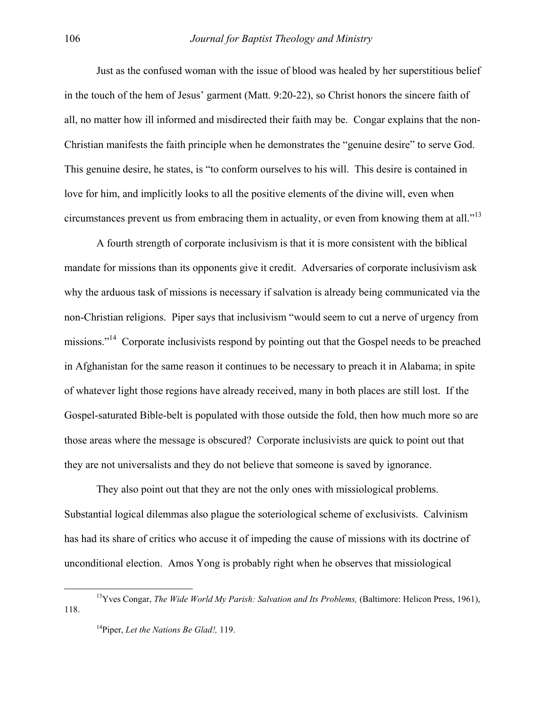Just as the confused woman with the issue of blood was healed by her superstitious belief in the touch of the hem of Jesus' garment (Matt. 9:20-22), so Christ honors the sincere faith of all, no matter how ill informed and misdirected their faith may be. Congar explains that the non-Christian manifests the faith principle when he demonstrates the "genuine desire" to serve God. This genuine desire, he states, is "to conform ourselves to his will. This desire is contained in love for him, and implicitly looks to all the positive elements of the divine will, even when circumstances prevent us from embracing them in actuality, or even from knowing them at all."<sup>13</sup>

 A fourth strength of corporate inclusivism is that it is more consistent with the biblical mandate for missions than its opponents give it credit. Adversaries of corporate inclusivism ask why the arduous task of missions is necessary if salvation is already being communicated via the non-Christian religions. Piper says that inclusivism "would seem to cut a nerve of urgency from missions."<sup>14</sup> Corporate inclusivists respond by pointing out that the Gospel needs to be preached in Afghanistan for the same reason it continues to be necessary to preach it in Alabama; in spite of whatever light those regions have already received, many in both places are still lost. If the Gospel-saturated Bible-belt is populated with those outside the fold, then how much more so are those areas where the message is obscured? Corporate inclusivists are quick to point out that they are not universalists and they do not believe that someone is saved by ignorance.

 They also point out that they are not the only ones with missiological problems. Substantial logical dilemmas also plague the soteriological scheme of exclusivists. Calvinism has had its share of critics who accuse it of impeding the cause of missions with its doctrine of unconditional election. Amos Yong is probably right when he observes that missiological

<sup>&</sup>lt;sup>13</sup>Yves Congar, *The Wide World My Parish: Salvation and Its Problems*, (Baltimore: Helicon Press, 1961), 118.

<span id="page-5-1"></span><span id="page-5-0"></span><sup>14</sup>Piper, *Let the Nations Be Glad!,* 119.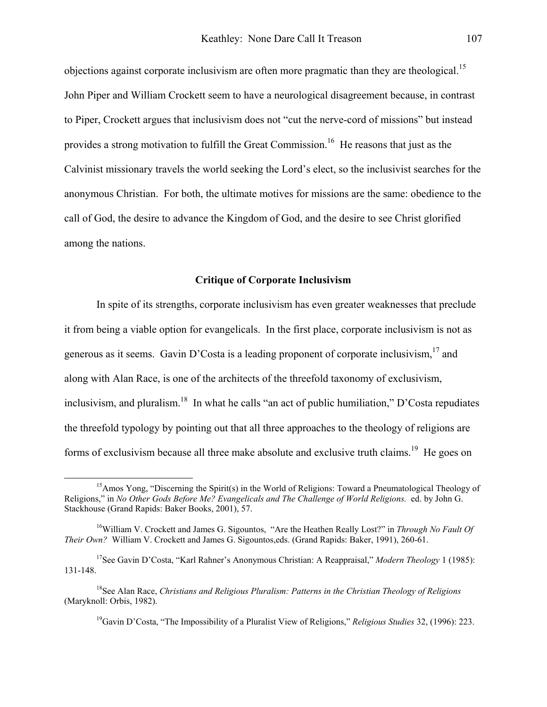objections against corporate inclusivism are often more pragmatic than they are theological.<sup>15</sup> John Piper and William Crockett seem to have a neurological disagreement because, in contrast to Piper, Crockett argues that inclusivism does not "cut the nerve-cord of missions" but instead provides a strong motivation to fulfill the Great Commission.[16](#page-6-1) He reasons that just as the Calvinist missionary travels the world seeking the Lord's elect, so the inclusivist searches for the anonymous Christian. For both, the ultimate motives for missions are the same: obedience to the call of God, the desire to advance the Kingdom of God, and the desire to see Christ glorified among the nations.

## **Critique of Corporate Inclusivism**

 In spite of its strengths, corporate inclusivism has even greater weaknesses that preclude it from being a viable option for evangelicals. In the first place, corporate inclusivism is not as generous as it seems. Gavin D'Costa is a leading proponent of corporate inclusivism,  $17$  and along with Alan Race, is one of the architects of the threefold taxonomy of exclusivism, inclusivism, and pluralism.<sup>18</sup> In what he calls "an act of public humiliation," D'Costa repudiates the threefold typology by pointing out that all three approaches to the theology of religions are forms of exclusivism because all three make absolute and exclusive truth claims.<sup>19</sup> He goes on

<span id="page-6-4"></span><span id="page-6-3"></span>19Gavin D'Costa, "The Impossibility of a Pluralist View of Religions," *Religious Studies* 32, (1996): 223.

<span id="page-6-0"></span><sup>&</sup>lt;sup>15</sup>Amos Yong, "Discerning the Spirit(s) in the World of Religions: Toward a Pneumatological Theology of Religions," in *No Other Gods Before Me? Evangelicals and The Challenge of World Religions.* ed. by John G. Stackhouse (Grand Rapids: Baker Books, 2001), 57.

<span id="page-6-1"></span><sup>16</sup>William V. Crockett and James G. Sigountos, "Are the Heathen Really Lost?" in *Through No Fault Of Their Own?* William V. Crockett and James G. Sigountos,eds. (Grand Rapids: Baker, 1991), 260-61.

<span id="page-6-2"></span> <sup>17</sup>See Gavin D'Costa, "Karl Rahner's Anonymous Christian: A Reappraisal," *Modern Theology* 1 (1985): 131-148.

<sup>18</sup>See Alan Race, *Christians and Religious Pluralism: Patterns in the Christian Theology of Religions*  (Maryknoll: Orbis, 1982).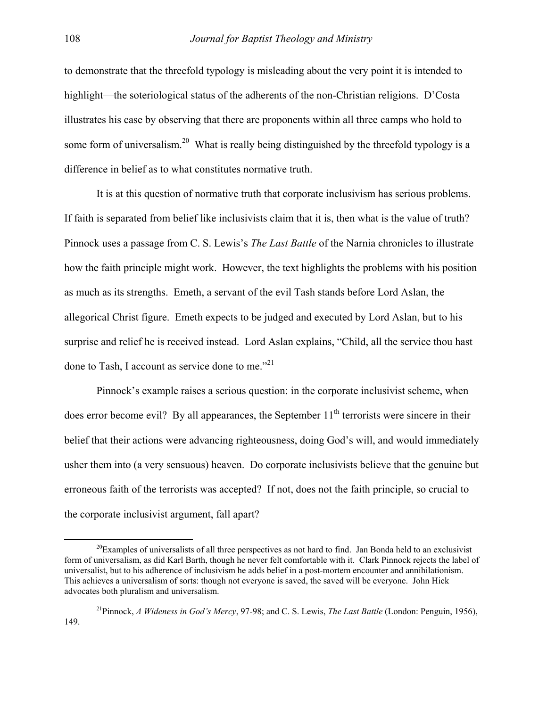to demonstrate that the threefold typology is misleading about the very point it is intended to highlight—the soteriological status of the adherents of the non-Christian religions. D'Costa illustrates his case by observing that there are proponents within all three camps who hold to some form of universalism.<sup>20</sup> What is really being distinguished by the threefold typology is a difference in belief as to what constitutes normative truth.

It is at this question of normative truth that corporate inclusivism has serious problems. If faith is separated from belief like inclusivists claim that it is, then what is the value of truth? Pinnock uses a passage from C. S. Lewis's *The Last Battle* of the Narnia chronicles to illustrate how the faith principle might work. However, the text highlights the problems with his position as much as its strengths. Emeth, a servant of the evil Tash stands before Lord Aslan, the allegorical Christ figure. Emeth expects to be judged and executed by Lord Aslan, but to his surprise and relief he is received instead. Lord Aslan explains, "Child, all the service thou hast done to Tash, I account as service done to me. $^{221}$  $^{221}$  $^{221}$ 

Pinnock's example raises a serious question: in the corporate inclusivist scheme, when does error become evil? By all appearances, the September  $11<sup>th</sup>$  terrorists were sincere in their belief that their actions were advancing righteousness, doing God's will, and would immediately usher them into (a very sensuous) heaven. Do corporate inclusivists believe that the genuine but erroneous faith of the terrorists was accepted? If not, does not the faith principle, so crucial to the corporate inclusivist argument, fall apart?

<span id="page-7-0"></span> $^{20}$ Examples of universalists of all three perspectives as not hard to find. Jan Bonda held to an exclusivist form of universalism, as did Karl Barth, though he never felt comfortable with it. Clark Pinnock rejects the label of universalist, but to his adherence of inclusivism he adds belief in a post-mortem encounter and annihilationism. This achieves a universalism of sorts: though not everyone is saved, the saved will be everyone. John Hick advocates both pluralism and universalism.

<span id="page-7-1"></span><sup>21</sup>Pinnock, *A Wideness in God's Mercy*, 97-98; and C. S. Lewis, *The Last Battle* (London: Penguin, 1956), 149.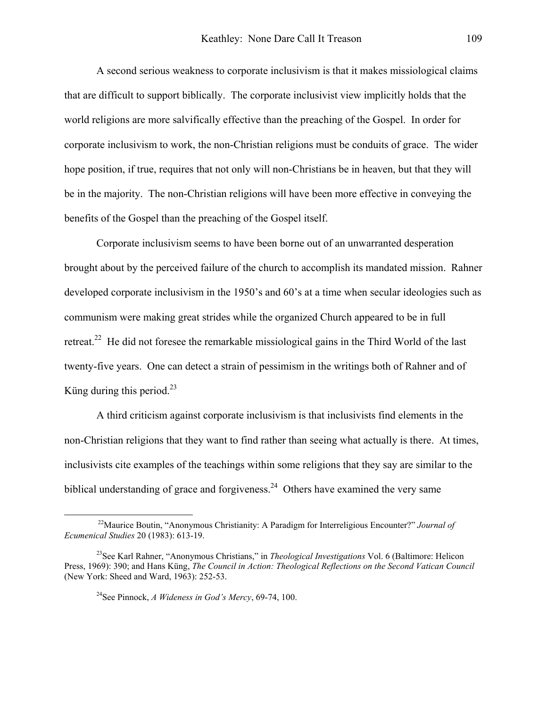A second serious weakness to corporate inclusivism is that it makes missiological claims that are difficult to support biblically. The corporate inclusivist view implicitly holds that the world religions are more salvifically effective than the preaching of the Gospel. In order for corporate inclusivism to work, the non-Christian religions must be conduits of grace. The wider hope position, if true, requires that not only will non-Christians be in heaven, but that they will be in the majority. The non-Christian religions will have been more effective in conveying the benefits of the Gospel than the preaching of the Gospel itself.

Corporate inclusivism seems to have been borne out of an unwarranted desperation brought about by the perceived failure of the church to accomplish its mandated mission. Rahner developed corporate inclusivism in the 1950's and 60's at a time when secular ideologies such as communism were making great strides while the organized Church appeared to be in full retreat.<sup>22</sup> He did not foresee the remarkable missiological gains in the Third World of the last twenty-five years. One can detect a strain of pessimism in the writings both of Rahner and of Küng during this period. $^{23}$  $^{23}$  $^{23}$ 

 A third criticism against corporate inclusivism is that inclusivists find elements in the non-Christian religions that they want to find rather than seeing what actually is there. At times, inclusivists cite examples of the teachings within some religions that they say are similar to the biblical understanding of grace and forgiveness.<sup>24</sup> Others have examined the very same

 $\overline{a}$ 

<span id="page-8-0"></span>22Maurice Boutin, "Anonymous Christianity: A Paradigm for Interreligious Encounter?" *Journal of Ecumenical Studies* 20 (1983): 613-19.

<span id="page-8-1"></span><sup>23</sup>See Karl Rahner, "Anonymous Christians," in *Theological Investigations* Vol. 6 (Baltimore: Helicon Press, 1969): 390; and Hans Küng, *The Council in Action: Theological Reflections on the Second Vatican Council*  (New York: Sheed and Ward, 1963): 252-53.

<span id="page-8-2"></span><sup>24</sup>See Pinnock, *A Wideness in God's Mercy*, 69-74, 100.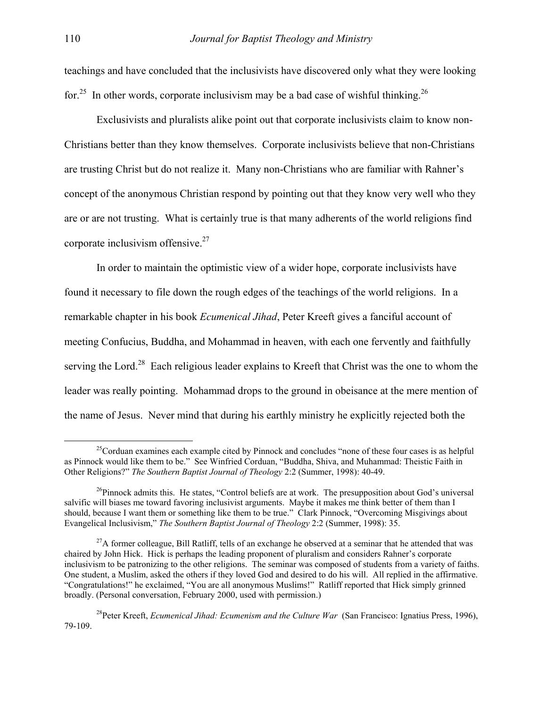teachings and have concluded that the inclusivists have discovered only what they were looking for.<sup>25</sup> In other words, corporate inclusivism may be a bad case of wishful thinking.<sup>[26](#page-9-1)</sup>

 Exclusivists and pluralists alike point out that corporate inclusivists claim to know non-Christians better than they know themselves. Corporate inclusivists believe that non-Christians are trusting Christ but do not realize it. Many non-Christians who are familiar with Rahner's concept of the anonymous Christian respond by pointing out that they know very well who they are or are not trusting. What is certainly true is that many adherents of the world religions find corporate inclusivism offensive. $27$ 

 In order to maintain the optimistic view of a wider hope, corporate inclusivists have found it necessary to file down the rough edges of the teachings of the world religions. In a remarkable chapter in his book *Ecumenical Jihad*, Peter Kreeft gives a fanciful account of meeting Confucius, Buddha, and Mohammad in heaven, with each one fervently and faithfully serving the Lord.<sup>28</sup> Each religious leader explains to Kreeft that Christ was the one to whom the leader was really pointing. Mohammad drops to the ground in obeisance at the mere mention of the name of Jesus. Never mind that during his earthly ministry he explicitly rejected both the

<span id="page-9-0"></span><sup>&</sup>lt;sup>25</sup>Corduan examines each example cited by Pinnock and concludes "none of these four cases is as helpful as Pinnock would like them to be." See Winfried Corduan, "Buddha, Shiva, and Muhammad: Theistic Faith in Other Religions?" *The Southern Baptist Journal of Theology* 2:2 (Summer, 1998): 40-49.

<span id="page-9-1"></span> $^{26}P$ innock admits this. He states, "Control beliefs are at work. The presupposition about God's universal salvific will biases me toward favoring inclusivist arguments. Maybe it makes me think better of them than I should, because I want them or something like them to be true." Clark Pinnock, "Overcoming Misgivings about Evangelical Inclusivism," *The Southern Baptist Journal of Theology* 2:2 (Summer, 1998): 35.

<span id="page-9-2"></span> $^{27}$ A former colleague, Bill Ratliff, tells of an exchange he observed at a seminar that he attended that was chaired by John Hick. Hick is perhaps the leading proponent of pluralism and considers Rahner's corporate inclusivism to be patronizing to the other religions. The seminar was composed of students from a variety of faiths. One student, a Muslim, asked the others if they loved God and desired to do his will. All replied in the affirmative. "Congratulations!" he exclaimed, "You are all anonymous Muslims!" Ratliff reported that Hick simply grinned broadly. (Personal conversation, February 2000, used with permission.)

<span id="page-9-3"></span><sup>28</sup>Peter Kreeft, *Ecumenical Jihad: Ecumenism and the Culture War* (San Francisco: Ignatius Press, 1996), 79-109.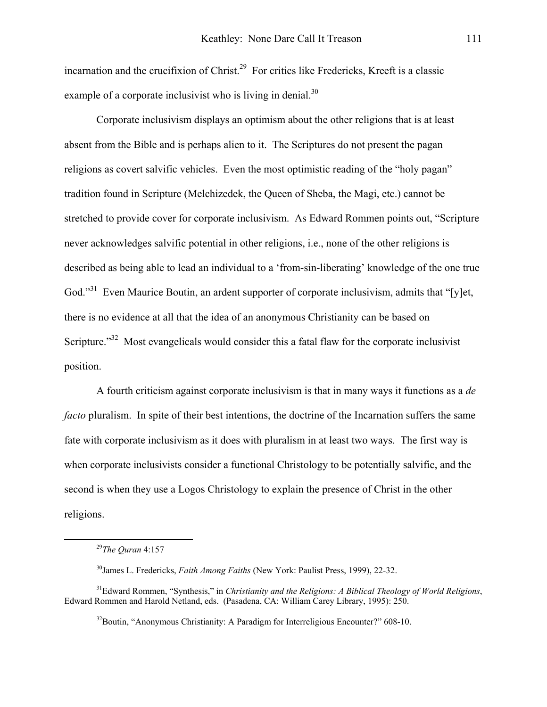incarnation and the crucifixion of Christ.<sup>29</sup> For critics like Fredericks, Kreeft is a classic example of a corporate inclusivist who is living in denial.<sup>30</sup>

 Corporate inclusivism displays an optimism about the other religions that is at least absent from the Bible and is perhaps alien to it. The Scriptures do not present the pagan religions as covert salvific vehicles. Even the most optimistic reading of the "holy pagan" tradition found in Scripture (Melchizedek, the Queen of Sheba, the Magi, etc.) cannot be stretched to provide cover for corporate inclusivism. As Edward Rommen points out, "Scripture never acknowledges salvific potential in other religions, i.e., none of the other religions is described as being able to lead an individual to a 'from-sin-liberating' knowledge of the one true God."<sup>31</sup> Even Maurice Boutin, an ardent supporter of corporate inclusivism, admits that "[y]et, there is no evidence at all that the idea of an anonymous Christianity can be based on Scripture."<sup>32</sup> Most evangelicals would consider this a fatal flaw for the corporate inclusivist position.

 A fourth criticism against corporate inclusivism is that in many ways it functions as a *de facto* pluralism. In spite of their best intentions, the doctrine of the Incarnation suffers the same fate with corporate inclusivism as it does with pluralism in at least two ways. The first way is when corporate inclusivists consider a functional Christology to be potentially salvific, and the second is when they use a Logos Christology to explain the presence of Christ in the other religions.

<span id="page-10-0"></span> <sup>29</sup>*The Quran* 4:157

<span id="page-10-2"></span><span id="page-10-1"></span><sup>30</sup>James L. Fredericks, *Faith Among Faiths* (New York: Paulist Press, 1999), 22-32.

<sup>31</sup>Edward Rommen, "Synthesis," in *Christianity and the Religions: A Biblical Theology of World Religions*, Edward Rommen and Harold Netland, eds. (Pasadena, CA: William Carey Library, 1995): 250.

<span id="page-10-3"></span><sup>&</sup>lt;sup>32</sup>Boutin, "Anonymous Christianity: A Paradigm for Interreligious Encounter?" 608-10.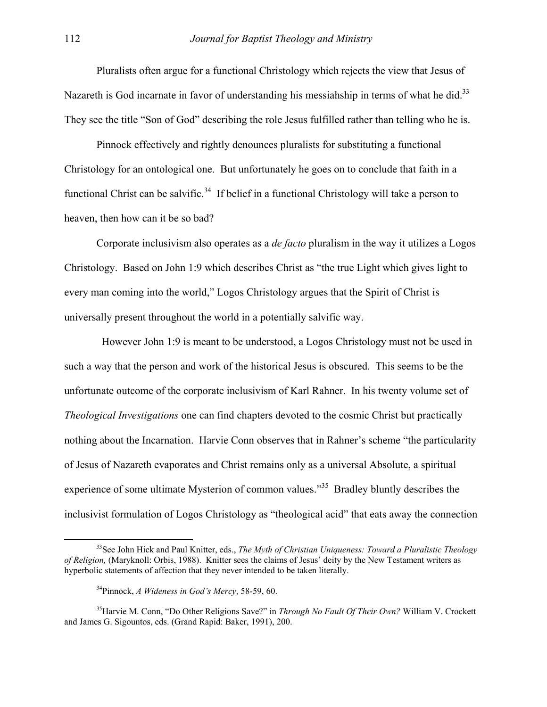Pluralists often argue for a functional Christology which rejects the view that Jesus of Nazareth is God incarnate in favor of understanding his messiahship in terms of what he did.<sup>33</sup> They see the title "Son of God" describing the role Jesus fulfilled rather than telling who he is.

 Pinnock effectively and rightly denounces pluralists for substituting a functional Christology for an ontological one. But unfortunately he goes on to conclude that faith in a functional Christ can be salvific.<sup>34</sup> If belief in a functional Christology will take a person to heaven, then how can it be so bad?

Corporate inclusivism also operates as a *de facto* pluralism in the way it utilizes a Logos Christology. Based on John 1:9 which describes Christ as "the true Light which gives light to every man coming into the world," Logos Christology argues that the Spirit of Christ is universally present throughout the world in a potentially salvific way.

 However John 1:9 is meant to be understood, a Logos Christology must not be used in such a way that the person and work of the historical Jesus is obscured. This seems to be the unfortunate outcome of the corporate inclusivism of Karl Rahner. In his twenty volume set of *Theological Investigations* one can find chapters devoted to the cosmic Christ but practically nothing about the Incarnation. Harvie Conn observes that in Rahner's scheme "the particularity of Jesus of Nazareth evaporates and Christ remains only as a universal Absolute, a spiritual experience of some ultimate Mysterion of common values.<sup>35</sup> Bradley bluntly describes the inclusivist formulation of Logos Christology as "theological acid" that eats away the connection

<span id="page-11-0"></span> <sup>33</sup>See John Hick and Paul Knitter, eds., *The Myth of Christian Uniqueness: Toward a Pluralistic Theology of Religion,* (Maryknoll: Orbis, 1988). Knitter sees the claims of Jesus' deity by the New Testament writers as hyperbolic statements of affection that they never intended to be taken literally.

<span id="page-11-2"></span><span id="page-11-1"></span><sup>34</sup>Pinnock, *A Wideness in God's Mercy*, 58-59, 60.

<sup>35</sup>Harvie M. Conn, "Do Other Religions Save?" in *Through No Fault Of Their Own?* William V. Crockett and James G. Sigountos, eds. (Grand Rapid: Baker, 1991), 200.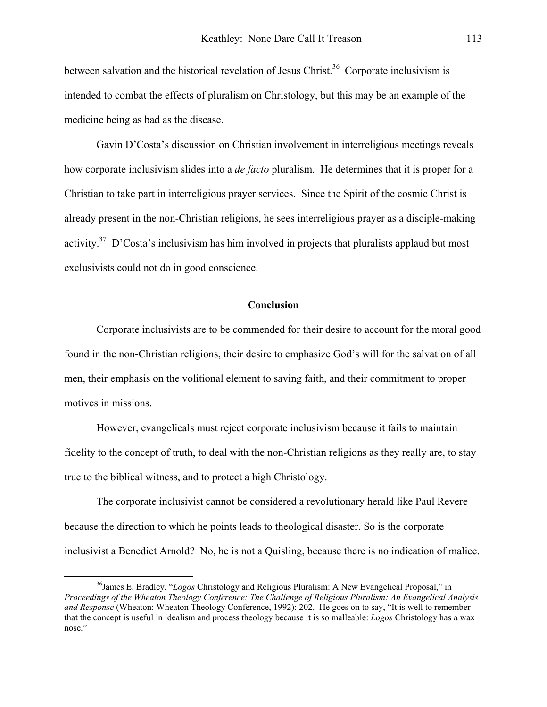between salvation and the historical revelation of Jesus Christ.<sup>36</sup> Corporate inclusivism is intended to combat the effects of pluralism on Christology, but this may be an example of the medicine being as bad as the disease.

Gavin D'Costa's discussion on Christian involvement in interreligious meetings reveals how corporate inclusivism slides into a *de facto* pluralism. He determines that it is proper for a Christian to take part in interreligious prayer services. Since the Spirit of the cosmic Christ is already present in the non-Christian religions, he sees interreligious prayer as a disciple-making activity.<sup>37</sup> D'Costa's inclusivism has him involved in projects that pluralists applaud but most exclusivists could not do in good conscience.

## **Conclusion**

<span id="page-12-1"></span>Corporate inclusivists are to be commended for their desire to account for the moral good found in the non-Christian religions, their desire to emphasize God's will for the salvation of all men, their emphasis on the volitional element to saving faith, and their commitment to proper motives in missions.

However, evangelicals must reject corporate inclusivism because it fails to maintain fidelity to the concept of truth, to deal with the non-Christian religions as they really are, to stay true to the biblical witness, and to protect a high Christology.

The corporate inclusivist cannot be considered a revolutionary herald like Paul Revere because the direction to which he points leads to theological disaster. So is the corporate inclusivist a Benedict Arnold? No, he is not a Quisling, because there is no indication of malice.

<span id="page-12-0"></span> <sup>36</sup>James E. Bradley, "*Logos* Christology and Religious Pluralism: A New Evangelical Proposal," in *Proceedings of the Wheaton Theology Conference: The Challenge of Religious Pluralism: An Evangelical Analysis and Response* (Wheaton: Wheaton Theology Conference, 1992): 202. He goes on to say, "It is well to remember that the concept is useful in idealism and process theology because it is so malleable: *Logos* Christology has a wax nose."